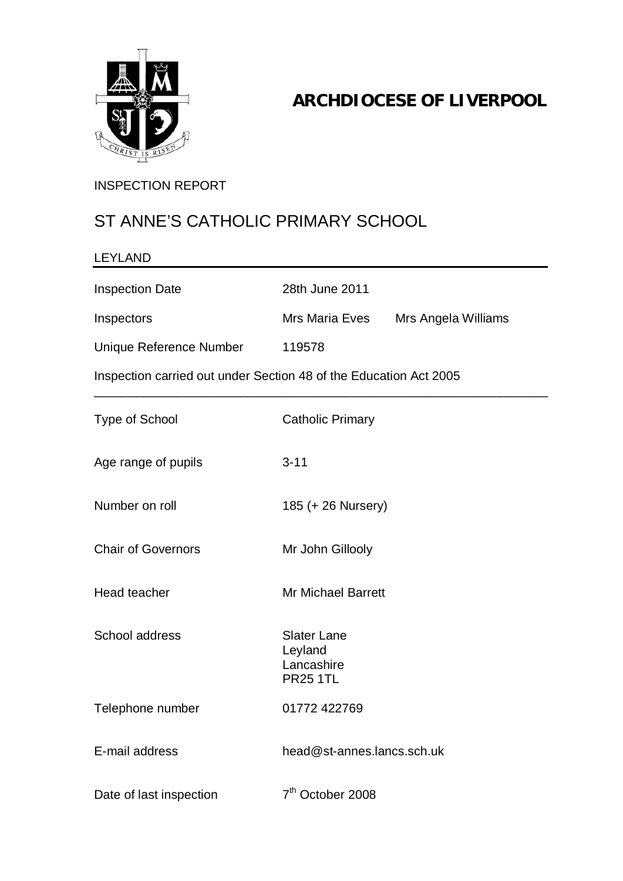

## **ARCHDIOCESE OF LIVERPOOL**

#### INSPECTION REPORT

## ST ANNE'S CATHOLIC PRIMARY SCHOOL

| <b>LEYLAND</b>                                                    |                                                                |                     |
|-------------------------------------------------------------------|----------------------------------------------------------------|---------------------|
| <b>Inspection Date</b>                                            | 28th June 2011                                                 |                     |
| Inspectors                                                        | Mrs Maria Eves                                                 | Mrs Angela Williams |
| Unique Reference Number                                           | 119578                                                         |                     |
| Inspection carried out under Section 48 of the Education Act 2005 |                                                                |                     |
| <b>Type of School</b>                                             | <b>Catholic Primary</b>                                        |                     |
| Age range of pupils                                               | $3 - 11$                                                       |                     |
| Number on roll                                                    | 185 (+ 26 Nursery)                                             |                     |
| <b>Chair of Governors</b>                                         | Mr John Gillooly                                               |                     |
| <b>Head teacher</b>                                               | <b>Mr Michael Barrett</b>                                      |                     |
| School address                                                    | <b>Slater Lane</b><br>Leyland<br>Lancashire<br><b>PR25 1TL</b> |                     |
| Telephone number                                                  | 01772 422769                                                   |                     |
| E-mail address                                                    | head@st-annes.lancs.sch.uk                                     |                     |
| Date of last inspection                                           | 7 <sup>th</sup> October 2008                                   |                     |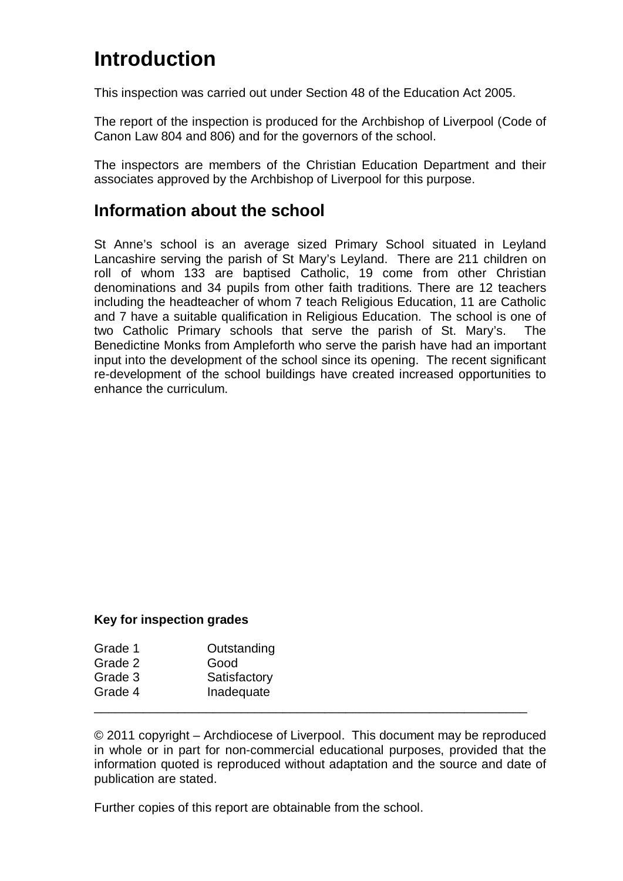# **Introduction**

This inspection was carried out under Section 48 of the Education Act 2005.

The report of the inspection is produced for the Archbishop of Liverpool (Code of Canon Law 804 and 806) and for the governors of the school.

The inspectors are members of the Christian Education Department and their associates approved by the Archbishop of Liverpool for this purpose.

### **Information about the school**

St Anne's school is an average sized Primary School situated in Leyland Lancashire serving the parish of St Mary's Leyland. There are 211 children on roll of whom 133 are baptised Catholic, 19 come from other Christian denominations and 34 pupils from other faith traditions. There are 12 teachers including the headteacher of whom 7 teach Religious Education, 11 are Catholic and 7 have a suitable qualification in Religious Education. The school is one of two Catholic Primary schools that serve the parish of St. Mary's. The Benedictine Monks from Ampleforth who serve the parish have had an important input into the development of the school since its opening. The recent significant re-development of the school buildings have created increased opportunities to enhance the curriculum.

#### **Key for inspection grades**

| Grade 1 | Outstanding  |  |
|---------|--------------|--|
| Grade 2 | Good         |  |
| Grade 3 | Satisfactory |  |
| Grade 4 | Inadequate   |  |
|         |              |  |

© 2011 copyright – Archdiocese of Liverpool. This document may be reproduced in whole or in part for non-commercial educational purposes, provided that the information quoted is reproduced without adaptation and the source and date of publication are stated.

Further copies of this report are obtainable from the school.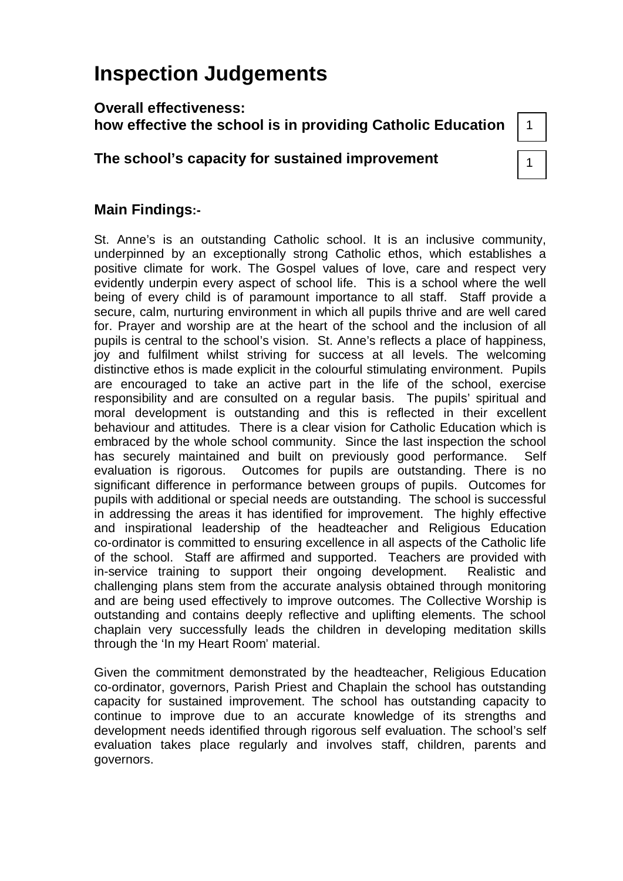# **Inspection Judgements**

#### **Overall effectiveness: how effective the school is in providing Catholic Education**

#### **The school's capacity for sustained improvement**

# 1

#### **Main Findings:-**

St. Anne's is an outstanding Catholic school. It is an inclusive community, underpinned by an exceptionally strong Catholic ethos, which establishes a positive climate for work. The Gospel values of love, care and respect very evidently underpin every aspect of school life. This is a school where the well being of every child is of paramount importance to all staff. Staff provide a secure, calm, nurturing environment in which all pupils thrive and are well cared for. Prayer and worship are at the heart of the school and the inclusion of all pupils is central to the school's vision. St. Anne's reflects a place of happiness, joy and fulfilment whilst striving for success at all levels. The welcoming distinctive ethos is made explicit in the colourful stimulating environment. Pupils are encouraged to take an active part in the life of the school, exercise responsibility and are consulted on a regular basis. The pupils' spiritual and moral development is outstanding and this is reflected in their excellent behaviour and attitudes. There is a clear vision for Catholic Education which is embraced by the whole school community. Since the last inspection the school has securely maintained and built on previously good performance. Self evaluation is rigorous. Outcomes for pupils are outstanding. There is no significant difference in performance between groups of pupils. Outcomes for pupils with additional or special needs are outstanding. The school is successful in addressing the areas it has identified for improvement. The highly effective and inspirational leadership of the headteacher and Religious Education co-ordinator is committed to ensuring excellence in all aspects of the Catholic life of the school. Staff are affirmed and supported. Teachers are provided with in-service training to support their ongoing development. Realistic and challenging plans stem from the accurate analysis obtained through monitoring and are being used effectively to improve outcomes. The Collective Worship is outstanding and contains deeply reflective and uplifting elements. The school chaplain very successfully leads the children in developing meditation skills through the 'In my Heart Room' material.

Given the commitment demonstrated by the headteacher, Religious Education co-ordinator, governors, Parish Priest and Chaplain the school has outstanding capacity for sustained improvement. The school has outstanding capacity to continue to improve due to an accurate knowledge of its strengths and development needs identified through rigorous self evaluation. The school's self evaluation takes place regularly and involves staff, children, parents and governors.

1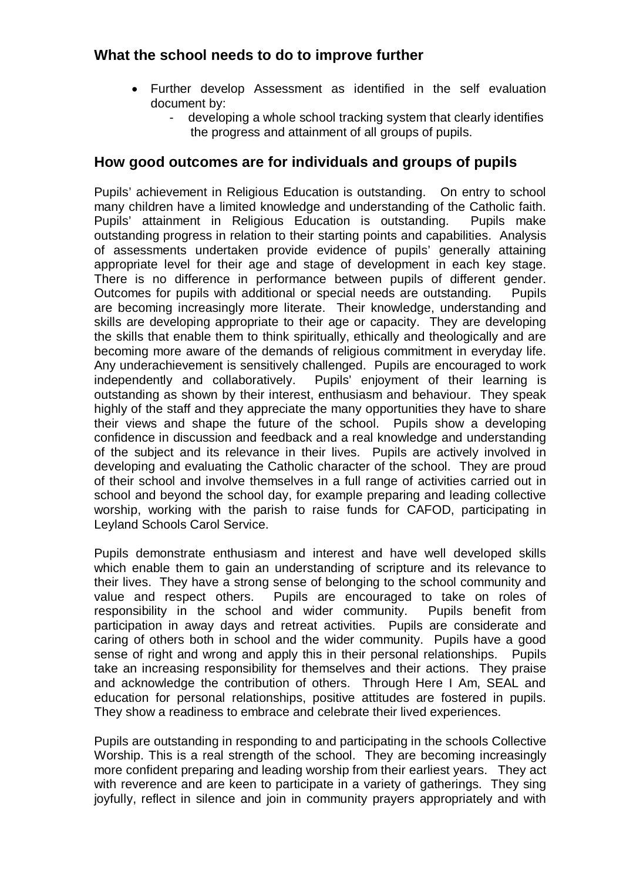#### **What the school needs to do to improve further**

- Further develop Assessment as identified in the self evaluation document by:
	- developing a whole school tracking system that clearly identifies the progress and attainment of all groups of pupils.

#### **How good outcomes are for individuals and groups of pupils**

Pupils' achievement in Religious Education is outstanding. On entry to school many children have a limited knowledge and understanding of the Catholic faith. Pupils' attainment in Religious Education is outstanding. Pupils make outstanding progress in relation to their starting points and capabilities. Analysis of assessments undertaken provide evidence of pupils' generally attaining appropriate level for their age and stage of development in each key stage. There is no difference in performance between pupils of different gender. Outcomes for pupils with additional or special needs are outstanding. Pupils are becoming increasingly more literate. Their knowledge, understanding and skills are developing appropriate to their age or capacity. They are developing the skills that enable them to think spiritually, ethically and theologically and are becoming more aware of the demands of religious commitment in everyday life. Any underachievement is sensitively challenged. Pupils are encouraged to work independently and collaboratively. Pupils' enjoyment of their learning is outstanding as shown by their interest, enthusiasm and behaviour. They speak highly of the staff and they appreciate the many opportunities they have to share their views and shape the future of the school. Pupils show a developing confidence in discussion and feedback and a real knowledge and understanding of the subject and its relevance in their lives. Pupils are actively involved in developing and evaluating the Catholic character of the school. They are proud of their school and involve themselves in a full range of activities carried out in school and beyond the school day, for example preparing and leading collective worship, working with the parish to raise funds for CAFOD, participating in Leyland Schools Carol Service.

Pupils demonstrate enthusiasm and interest and have well developed skills which enable them to gain an understanding of scripture and its relevance to their lives. They have a strong sense of belonging to the school community and value and respect others. Pupils are encouraged to take on roles of responsibility in the school and wider community. Pupils benefit from participation in away days and retreat activities. Pupils are considerate and caring of others both in school and the wider community. Pupils have a good sense of right and wrong and apply this in their personal relationships. Pupils take an increasing responsibility for themselves and their actions. They praise and acknowledge the contribution of others. Through Here I Am, SEAL and education for personal relationships, positive attitudes are fostered in pupils. They show a readiness to embrace and celebrate their lived experiences.

Pupils are outstanding in responding to and participating in the schools Collective Worship. This is a real strength of the school. They are becoming increasingly more confident preparing and leading worship from their earliest years. They act with reverence and are keen to participate in a variety of gatherings. They sing joyfully, reflect in silence and join in community prayers appropriately and with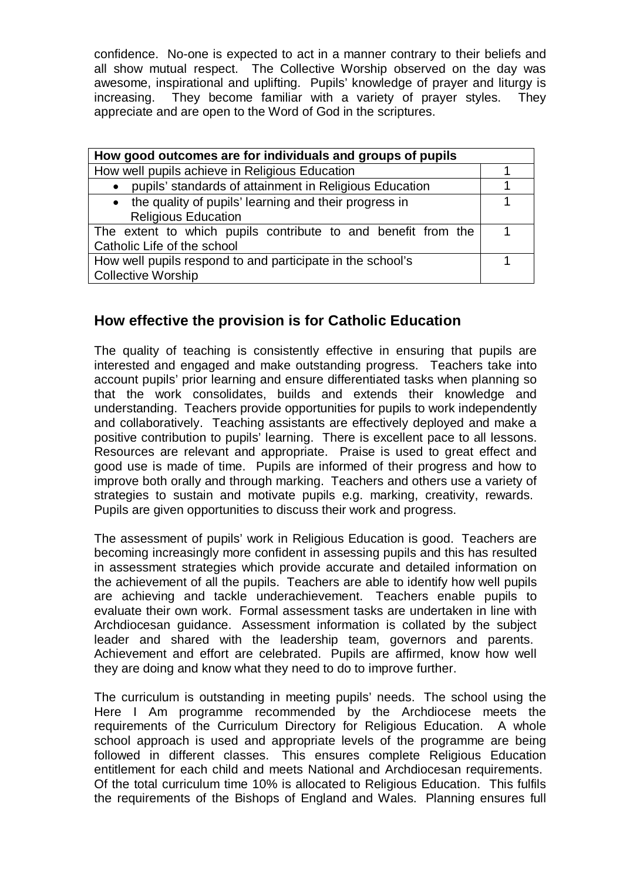confidence. No-one is expected to act in a manner contrary to their beliefs and all show mutual respect. The Collective Worship observed on the day was awesome, inspirational and uplifting. Pupils' knowledge of prayer and liturgy is increasing. They become familiar with a variety of prayer styles. They appreciate and are open to the Word of God in the scriptures.

| How good outcomes are for individuals and groups of pupils                            |  |  |
|---------------------------------------------------------------------------------------|--|--|
| How well pupils achieve in Religious Education                                        |  |  |
| pupils' standards of attainment in Religious Education<br>$\bullet$                   |  |  |
| • the quality of pupils' learning and their progress in<br><b>Religious Education</b> |  |  |
| The extent to which pupils contribute to and benefit from the                         |  |  |
| Catholic Life of the school                                                           |  |  |
| How well pupils respond to and participate in the school's                            |  |  |
| Collective Worship                                                                    |  |  |

#### **How effective the provision is for Catholic Education**

The quality of teaching is consistently effective in ensuring that pupils are interested and engaged and make outstanding progress. Teachers take into account pupils' prior learning and ensure differentiated tasks when planning so that the work consolidates, builds and extends their knowledge and understanding. Teachers provide opportunities for pupils to work independently and collaboratively. Teaching assistants are effectively deployed and make a positive contribution to pupils' learning. There is excellent pace to all lessons. Resources are relevant and appropriate. Praise is used to great effect and good use is made of time. Pupils are informed of their progress and how to improve both orally and through marking. Teachers and others use a variety of strategies to sustain and motivate pupils e.g. marking, creativity, rewards. Pupils are given opportunities to discuss their work and progress.

The assessment of pupils' work in Religious Education is good. Teachers are becoming increasingly more confident in assessing pupils and this has resulted in assessment strategies which provide accurate and detailed information on the achievement of all the pupils. Teachers are able to identify how well pupils are achieving and tackle underachievement. Teachers enable pupils to evaluate their own work. Formal assessment tasks are undertaken in line with Archdiocesan guidance. Assessment information is collated by the subject leader and shared with the leadership team, governors and parents. Achievement and effort are celebrated. Pupils are affirmed, know how well they are doing and know what they need to do to improve further.

The curriculum is outstanding in meeting pupils' needs. The school using the Here I Am programme recommended by the Archdiocese meets the requirements of the Curriculum Directory for Religious Education. A whole school approach is used and appropriate levels of the programme are being followed in different classes. This ensures complete Religious Education entitlement for each child and meets National and Archdiocesan requirements. Of the total curriculum time 10% is allocated to Religious Education. This fulfils the requirements of the Bishops of England and Wales. Planning ensures full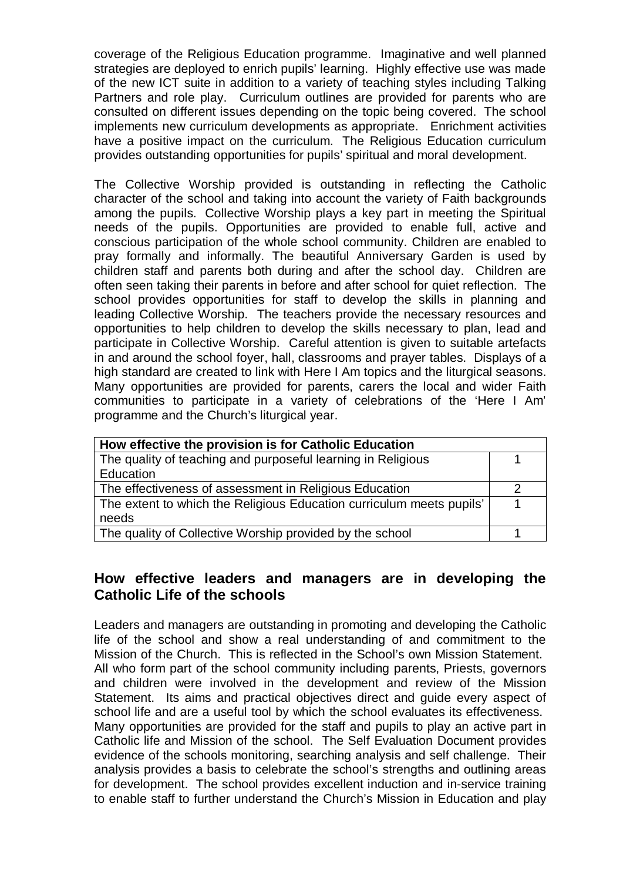coverage of the Religious Education programme. Imaginative and well planned strategies are deployed to enrich pupils' learning. Highly effective use was made of the new ICT suite in addition to a variety of teaching styles including Talking Partners and role play. Curriculum outlines are provided for parents who are consulted on different issues depending on the topic being covered. The school implements new curriculum developments as appropriate. Enrichment activities have a positive impact on the curriculum. The Religious Education curriculum provides outstanding opportunities for pupils' spiritual and moral development.

The Collective Worship provided is outstanding in reflecting the Catholic character of the school and taking into account the variety of Faith backgrounds among the pupils. Collective Worship plays a key part in meeting the Spiritual needs of the pupils. Opportunities are provided to enable full, active and conscious participation of the whole school community. Children are enabled to pray formally and informally. The beautiful Anniversary Garden is used by children staff and parents both during and after the school day. Children are often seen taking their parents in before and after school for quiet reflection. The school provides opportunities for staff to develop the skills in planning and leading Collective Worship. The teachers provide the necessary resources and opportunities to help children to develop the skills necessary to plan, lead and participate in Collective Worship. Careful attention is given to suitable artefacts in and around the school foyer, hall, classrooms and prayer tables. Displays of a high standard are created to link with Here I Am topics and the liturgical seasons. Many opportunities are provided for parents, carers the local and wider Faith communities to participate in a variety of celebrations of the 'Here I Am' programme and the Church's liturgical year.

| How effective the provision is for Catholic Education                |  |  |
|----------------------------------------------------------------------|--|--|
| The quality of teaching and purposeful learning in Religious         |  |  |
| Education                                                            |  |  |
| The effectiveness of assessment in Religious Education               |  |  |
| The extent to which the Religious Education curriculum meets pupils' |  |  |
| needs                                                                |  |  |
| The quality of Collective Worship provided by the school             |  |  |

#### **How effective leaders and managers are in developing the Catholic Life of the schools**

Leaders and managers are outstanding in promoting and developing the Catholic life of the school and show a real understanding of and commitment to the Mission of the Church. This is reflected in the School's own Mission Statement. All who form part of the school community including parents, Priests, governors and children were involved in the development and review of the Mission Statement. Its aims and practical objectives direct and guide every aspect of school life and are a useful tool by which the school evaluates its effectiveness. Many opportunities are provided for the staff and pupils to play an active part in Catholic life and Mission of the school. The Self Evaluation Document provides evidence of the schools monitoring, searching analysis and self challenge. Their analysis provides a basis to celebrate the school's strengths and outlining areas for development. The school provides excellent induction and in-service training to enable staff to further understand the Church's Mission in Education and play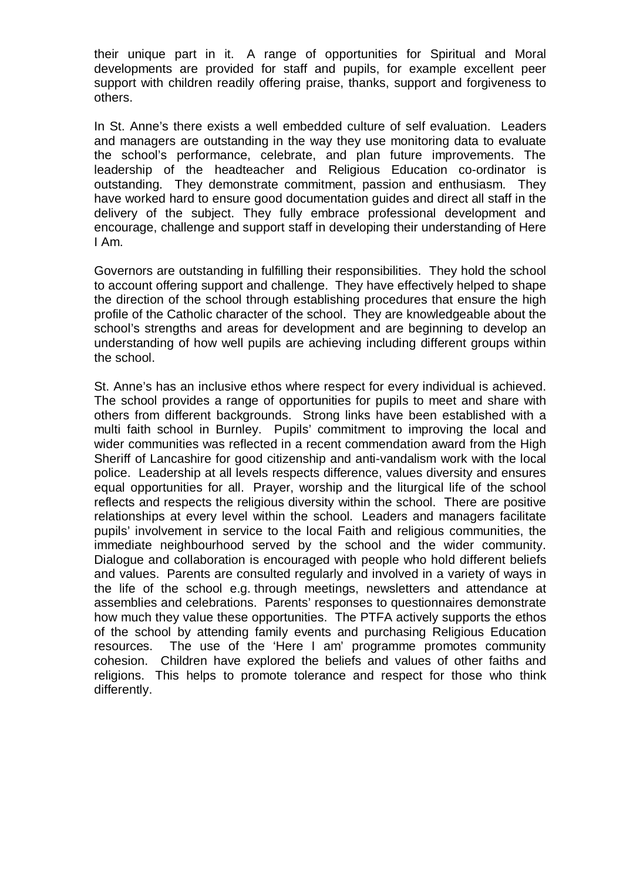their unique part in it. A range of opportunities for Spiritual and Moral developments are provided for staff and pupils, for example excellent peer support with children readily offering praise, thanks, support and forgiveness to others.

In St. Anne's there exists a well embedded culture of self evaluation. Leaders and managers are outstanding in the way they use monitoring data to evaluate the school's performance, celebrate, and plan future improvements. The leadership of the headteacher and Religious Education co-ordinator is outstanding. They demonstrate commitment, passion and enthusiasm. They have worked hard to ensure good documentation guides and direct all staff in the delivery of the subject. They fully embrace professional development and encourage, challenge and support staff in developing their understanding of Here I Am.

Governors are outstanding in fulfilling their responsibilities. They hold the school to account offering support and challenge. They have effectively helped to shape the direction of the school through establishing procedures that ensure the high profile of the Catholic character of the school. They are knowledgeable about the school's strengths and areas for development and are beginning to develop an understanding of how well pupils are achieving including different groups within the school.

St. Anne's has an inclusive ethos where respect for every individual is achieved. The school provides a range of opportunities for pupils to meet and share with others from different backgrounds. Strong links have been established with a multi faith school in Burnley. Pupils' commitment to improving the local and wider communities was reflected in a recent commendation award from the High Sheriff of Lancashire for good citizenship and anti-vandalism work with the local police. Leadership at all levels respects difference, values diversity and ensures equal opportunities for all. Prayer, worship and the liturgical life of the school reflects and respects the religious diversity within the school. There are positive relationships at every level within the school. Leaders and managers facilitate pupils' involvement in service to the local Faith and religious communities, the immediate neighbourhood served by the school and the wider community. Dialogue and collaboration is encouraged with people who hold different beliefs and values. Parents are consulted regularly and involved in a variety of ways in the life of the school e.g. through meetings, newsletters and attendance at assemblies and celebrations. Parents' responses to questionnaires demonstrate how much they value these opportunities. The PTFA actively supports the ethos of the school by attending family events and purchasing Religious Education resources. The use of the 'Here I am' programme promotes community cohesion. Children have explored the beliefs and values of other faiths and religions. This helps to promote tolerance and respect for those who think differently.